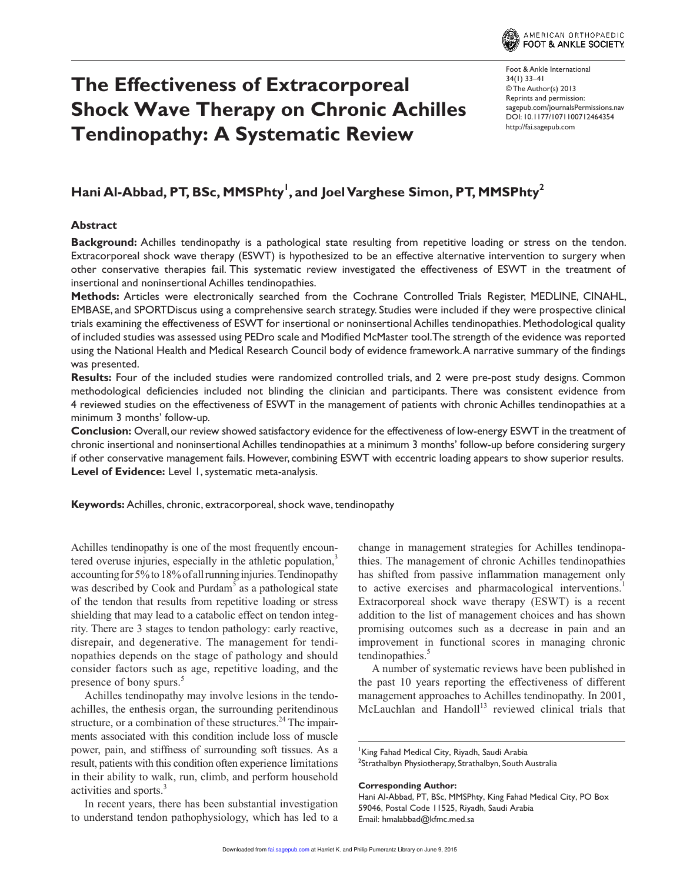

# **The Effectiveness of Extracorporeal Shock Wave Therapy on Chronic Achilles Tendinopathy: A Systematic Review**

Foot & Ankle International 34(1) 33 –41 © The Author(s) 2013 Reprints and permission: sagepub.com/journalsPermissions.nav DOI: 10.1177/1071100712464354 http://fai.sagepub.com

# **Hani Al-Abbad, PT, BSc, MMSPhty<sup>1</sup> , and Joel Varghese Simon, PT, MMSPhty<sup>2</sup>**

#### **Abstract**

**Background:** Achilles tendinopathy is a pathological state resulting from repetitive loading or stress on the tendon. Extracorporeal shock wave therapy (ESWT) is hypothesized to be an effective alternative intervention to surgery when other conservative therapies fail. This systematic review investigated the effectiveness of ESWT in the treatment of insertional and noninsertional Achilles tendinopathies.

**Methods:** Articles were electronically searched from the Cochrane Controlled Trials Register, MEDLINE, CINAHL, EMBASE, and SPORTDiscus using a comprehensive search strategy. Studies were included if they were prospective clinical trials examining the effectiveness of ESWT for insertional or noninsertional Achilles tendinopathies. Methodological quality of included studies was assessed using PEDro scale and Modified McMaster tool. The strength of the evidence was reported using the National Health and Medical Research Council body of evidence framework. A narrative summary of the findings was presented.

**Results:** Four of the included studies were randomized controlled trials, and 2 were pre-post study designs. Common methodological deficiencies included not blinding the clinician and participants. There was consistent evidence from 4 reviewed studies on the effectiveness of ESWT in the management of patients with chronic Achilles tendinopathies at a minimum 3 months' follow-up.

**Conclusion:** Overall, our review showed satisfactory evidence for the effectiveness of low-energy ESWT in the treatment of chronic insertional and noninsertional Achilles tendinopathies at a minimum 3 months' follow-up before considering surgery if other conservative management fails. However, combining ESWT with eccentric loading appears to show superior results. **Level of Evidence:** Level 1, systematic meta-analysis.

**Keywords:** Achilles, chronic, extracorporeal, shock wave, tendinopathy

Achilles tendinopathy is one of the most frequently encountered overuse injuries, especially in the athletic population,<sup>3</sup> accounting for 5% to 18% of all running injuries. Tendinopathy was described by Cook and Purdam<sup>5</sup> as a pathological state of the tendon that results from repetitive loading or stress shielding that may lead to a catabolic effect on tendon integrity. There are 3 stages to tendon pathology: early reactive, disrepair, and degenerative. The management for tendinopathies depends on the stage of pathology and should consider factors such as age, repetitive loading, and the presence of bony spurs.<sup>5</sup>

Achilles tendinopathy may involve lesions in the tendoachilles, the enthesis organ, the surrounding peritendinous structure, or a combination of these structures. $24$  The impairments associated with this condition include loss of muscle power, pain, and stiffness of surrounding soft tissues. As a result, patients with this condition often experience limitations in their ability to walk, run, climb, and perform household activities and sports.<sup>3</sup>

In recent years, there has been substantial investigation to understand tendon pathophysiology, which has led to a

change in management strategies for Achilles tendinopathies. The management of chronic Achilles tendinopathies has shifted from passive inflammation management only to active exercises and pharmacological interventions.<sup>1</sup> Extracorporeal shock wave therapy (ESWT) is a recent addition to the list of management choices and has shown promising outcomes such as a decrease in pain and an improvement in functional scores in managing chronic tendinopathies.<sup>5</sup>

A number of systematic reviews have been published in the past 10 years reporting the effectiveness of different management approaches to Achilles tendinopathy. In 2001, McLauchlan and Handoll<sup>13</sup> reviewed clinical trials that

**Corresponding Author:**

King Fahad Medical City, Riyadh, Saudi Arabia  $^2$ Strathalbyn Physiotherapy, Strathalbyn, South Australia

Hani Al-Abbad, PT, BSc, MMSPhty, King Fahad Medical City, PO Box 59046, Postal Code 11525, Riyadh, Saudi Arabia Email: hmalabbad@kfmc.med.sa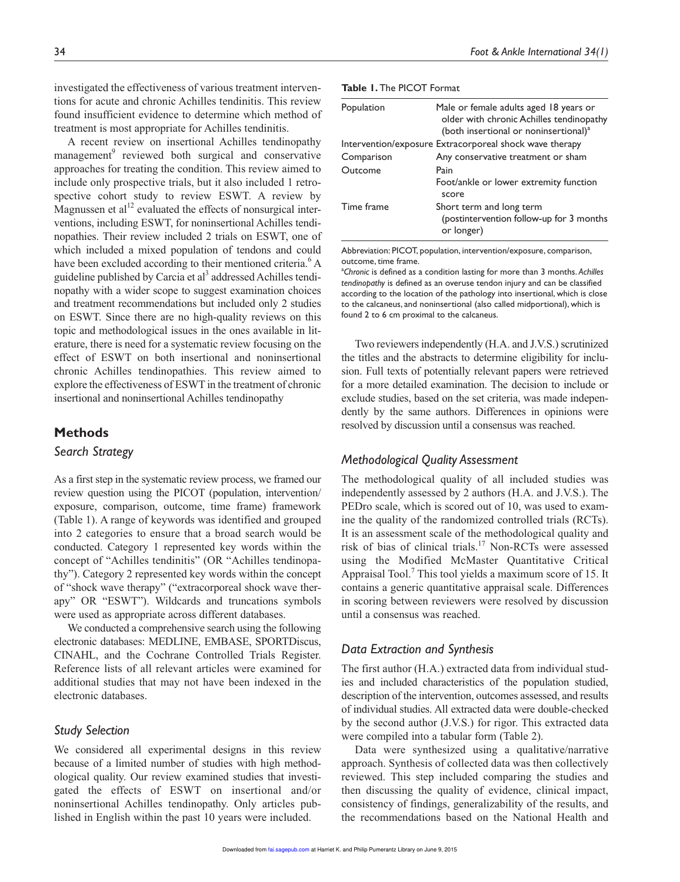investigated the effectiveness of various treatment interventions for acute and chronic Achilles tendinitis. This review found insufficient evidence to determine which method of treatment is most appropriate for Achilles tendinitis.

A recent review on insertional Achilles tendinopathy management<sup>9</sup> reviewed both surgical and conservative approaches for treating the condition. This review aimed to include only prospective trials, but it also included 1 retrospective cohort study to review ESWT. A review by Magnussen et  $al<sup>12</sup>$  evaluated the effects of nonsurgical interventions, including ESWT, for noninsertional Achilles tendinopathies. Their review included 2 trials on ESWT, one of which included a mixed population of tendons and could have been excluded according to their mentioned criteria.<sup>6</sup> A guideline published by Carcia et al<sup>3</sup> addressed Achilles tendinopathy with a wider scope to suggest examination choices and treatment recommendations but included only 2 studies on ESWT. Since there are no high-quality reviews on this topic and methodological issues in the ones available in literature, there is need for a systematic review focusing on the effect of ESWT on both insertional and noninsertional chronic Achilles tendinopathies. This review aimed to explore the effectiveness of ESWT in the treatment of chronic insertional and noninsertional Achilles tendinopathy

#### **Methods**

#### *Search Strategy*

As a first step in the systematic review process, we framed our review question using the PICOT (population, intervention/ exposure, comparison, outcome, time frame) framework (Table 1). A range of keywords was identified and grouped into 2 categories to ensure that a broad search would be conducted. Category 1 represented key words within the concept of "Achilles tendinitis" (OR "Achilles tendinopathy"). Category 2 represented key words within the concept of "shock wave therapy" ("extracorporeal shock wave therapy" OR "ESWT"). Wildcards and truncations symbols were used as appropriate across different databases.

We conducted a comprehensive search using the following electronic databases: MEDLINE, EMBASE, SPORTDiscus, CINAHL, and the Cochrane Controlled Trials Register. Reference lists of all relevant articles were examined for additional studies that may not have been indexed in the electronic databases.

#### *Study Selection*

We considered all experimental designs in this review because of a limited number of studies with high methodological quality. Our review examined studies that investigated the effects of ESWT on insertional and/or noninsertional Achilles tendinopathy. Only articles published in English within the past 10 years were included.

| <b>Table 1. The PICOT Format</b> |  |  |  |
|----------------------------------|--|--|--|
|----------------------------------|--|--|--|

| Population | Male or female adults aged 18 years or<br>older with chronic Achilles tendinopathy<br>(both insertional or noninsertional) <sup>a</sup> |
|------------|-----------------------------------------------------------------------------------------------------------------------------------------|
|            | Intervention/exposure Extracorporeal shock wave therapy                                                                                 |
| Comparison | Any conservative treatment or sham                                                                                                      |
| Outcome    | Pain                                                                                                                                    |
|            | Foot/ankle or lower extremity function<br>score                                                                                         |
| Time frame | Short term and long term<br>(postintervention follow-up for 3 months)<br>or longer)                                                     |

Abbreviation: PICOT, population, intervention/exposure, comparison, outcome, time frame.

a *Chronic* is defined as a condition lasting for more than 3 months. *Achilles tendinopathy* is defined as an overuse tendon injury and can be classified according to the location of the pathology into insertional, which is close to the calcaneus, and noninsertional (also called midportional), which is found 2 to 6 cm proximal to the calcaneus.

Two reviewers independently (H.A. and J.V.S.) scrutinized the titles and the abstracts to determine eligibility for inclusion. Full texts of potentially relevant papers were retrieved for a more detailed examination. The decision to include or exclude studies, based on the set criteria, was made independently by the same authors. Differences in opinions were resolved by discussion until a consensus was reached.

#### *Methodological Quality Assessment*

The methodological quality of all included studies was independently assessed by 2 authors (H.A. and J.V.S.). The PEDro scale, which is scored out of 10, was used to examine the quality of the randomized controlled trials (RCTs). It is an assessment scale of the methodological quality and risk of bias of clinical trials.<sup>17</sup> Non-RCTs were assessed using the Modified McMaster Quantitative Critical Appraisal Tool.<sup>7</sup> This tool yields a maximum score of 15. It contains a generic quantitative appraisal scale. Differences in scoring between reviewers were resolved by discussion until a consensus was reached.

# *Data Extraction and Synthesis*

The first author (H.A.) extracted data from individual studies and included characteristics of the population studied, description of the intervention, outcomes assessed, and results of individual studies. All extracted data were double-checked by the second author (J.V.S.) for rigor. This extracted data were compiled into a tabular form (Table 2).

Data were synthesized using a qualitative/narrative approach. Synthesis of collected data was then collectively reviewed. This step included comparing the studies and then discussing the quality of evidence, clinical impact, consistency of findings, generalizability of the results, and the recommendations based on the National Health and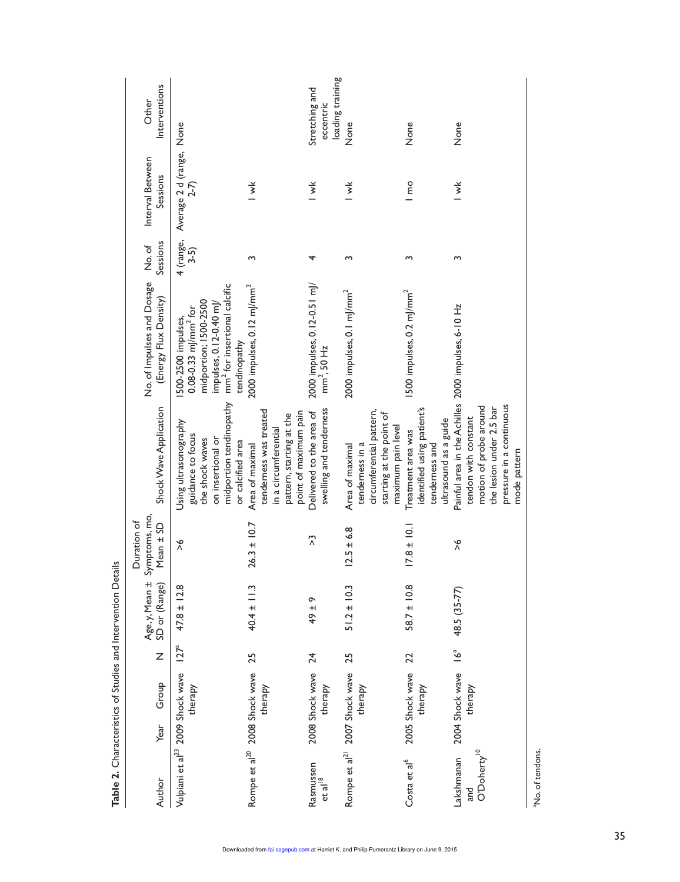|                                                        | Interventions<br>Other                              |                                                                                                                                                                           |                                                                                                                        | loading training<br>Stretching and<br>eccentric         |                                                                                                                  |                                                                                             |                                                                                                                                                                               |
|--------------------------------------------------------|-----------------------------------------------------|---------------------------------------------------------------------------------------------------------------------------------------------------------------------------|------------------------------------------------------------------------------------------------------------------------|---------------------------------------------------------|------------------------------------------------------------------------------------------------------------------|---------------------------------------------------------------------------------------------|-------------------------------------------------------------------------------------------------------------------------------------------------------------------------------|
|                                                        |                                                     |                                                                                                                                                                           |                                                                                                                        |                                                         | None                                                                                                             | None                                                                                        | None                                                                                                                                                                          |
|                                                        | Interval Between<br>Sessions                        | Average 2 d (range, None<br>2-7)                                                                                                                                          | $\overline{\mathbf{y}}$                                                                                                | $\overline{\mathsf{v}}$                                 | $\check{=}$                                                                                                      | $\frac{1}{2}$                                                                               | $\overline{\mathsf{v}}$                                                                                                                                                       |
|                                                        | Sessions<br>No.of                                   | 4 (range,<br>3-5)                                                                                                                                                         | S                                                                                                                      | 4                                                       | ω                                                                                                                | Σ                                                                                           | ς                                                                                                                                                                             |
|                                                        | No. of Impulses and Dosage<br>(Energy Flux Density) | mm <sup>2</sup> for insertional calcific<br>midportion; I500-2500<br>impulses, 0.12-0.40 ml/<br>$0.08 - 0.33$ m/mm <sup>2</sup> for<br>500-2500 impulses,<br>tendinopathy | $2000$ impulses, $0.12$ mJ/mm <sup>2</sup>                                                                             | 2000 impulses, 0.12-0.51 mJ/<br>mm <sup>2</sup> , 50 Hz | 2000 impulses, 0.1 mJ/mm <sup>2</sup>                                                                            | 1500 impulses, 0.2 mJ/mm <sup>2</sup>                                                       |                                                                                                                                                                               |
|                                                        | Shock Wave Application                              | midportion tendinopathy<br>Using ultrasonography<br>guidance to focus<br>on insertional or<br>the shock waves<br>or calcified area                                        | tenderness was treated<br>point of maximum pain<br>pattern, starting at the<br>in a circumferential<br>Area of maximal | swelling and tenderness<br>Delivered to the area of     | circumferential pattern,<br>starting at the point of<br>maximum pain level<br>tenderness in a<br>Area of maximal | identified using patient's<br>ultrasound as a guide<br>Treatment area was<br>tenderness and | Painful area in the Achilles 2000 impulses, 6-10 Hz<br>pressure in a continuous<br>motion of probe around<br>the lesion under 2.5 bar<br>tendon with constant<br>mode pattern |
| details                                                | Symptoms, mo,<br>Duration of<br>Mean $\pm$ SD       | $\frac{8}{1}$                                                                                                                                                             | $26.3 \pm 10.7$                                                                                                        | $\tilde{c}$                                             | $12.5 \pm 6.8$                                                                                                   | $17.8 \pm 10.1$                                                                             | $\frac{6}{1}$                                                                                                                                                                 |
|                                                        | Age, y, Mean ±<br>SD or (Range)                     | $47.8 \pm 12.8$                                                                                                                                                           | $40.4 \pm 11.3$                                                                                                        | 49 ± 9                                                  | $51.2 \pm 10.3$                                                                                                  | $58.7 \pm 10.8$                                                                             | 48.5 (35-77)                                                                                                                                                                  |
|                                                        | Z                                                   | $127^a$                                                                                                                                                                   | 25                                                                                                                     | $\overline{24}$                                         | 25                                                                                                               | 22                                                                                          | $\int_{a}^{a}$                                                                                                                                                                |
| Table 2. Characteristics of Studies and Intervention D | Group<br>Year                                       | Vulpiani et al <sup>23</sup> 2009 Shock wave<br>therapy                                                                                                                   | Rompe et al <sup>20</sup> 2008 Shock wave<br>therapy                                                                   | 2008 Shock wave<br>therapy                              | Rompe et al <sup>21</sup> 2007 Shock wave<br>therapy                                                             | 2005 Shock wave<br>therapy                                                                  | 2004 Shock wave<br>therapy                                                                                                                                                    |
|                                                        | Author                                              |                                                                                                                                                                           |                                                                                                                        | Rasmussen<br>et al <sup>18</sup>                        |                                                                                                                  | Costa et al <sup>6</sup>                                                                    | O'Doherty <sup>10</sup><br>Lakshmanan<br>and                                                                                                                                  |

35

aNo. of tendons.

<sup>a</sup>No. of tendons.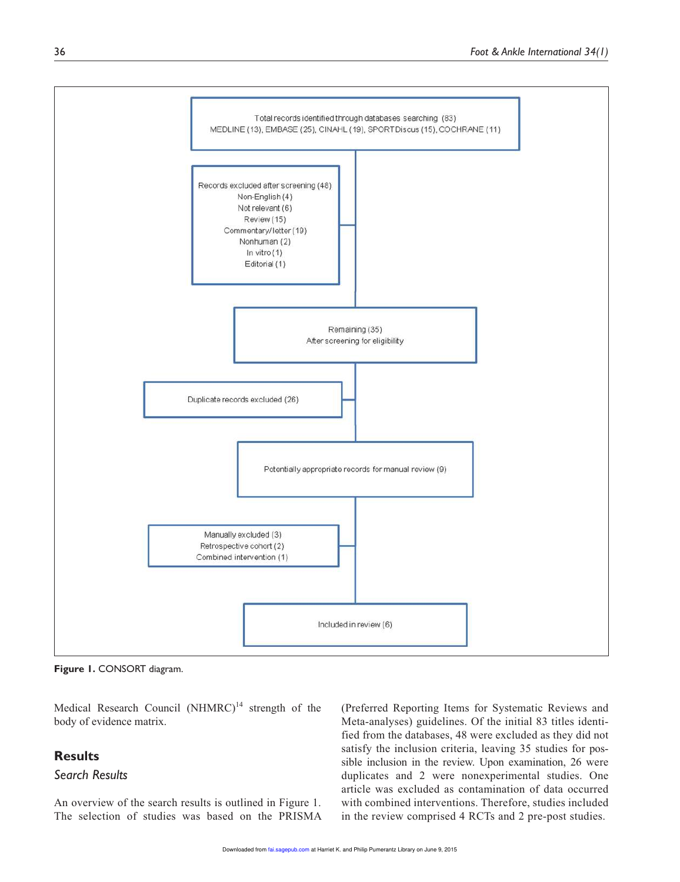

**Figure 1.** CONSORT diagram.

Medical Research Council  $(NHMRC)^{14}$  strength of the body of evidence matrix.

# **Results**

# *Search Results*

An overview of the search results is outlined in Figure 1. The selection of studies was based on the PRISMA (Preferred Reporting Items for Systematic Reviews and Meta-analyses) guidelines. Of the initial 83 titles identified from the databases, 48 were excluded as they did not satisfy the inclusion criteria, leaving 35 studies for possible inclusion in the review. Upon examination, 26 were duplicates and 2 were nonexperimental studies. One article was excluded as contamination of data occurred with combined interventions. Therefore, studies included in the review comprised 4 RCTs and 2 pre-post studies.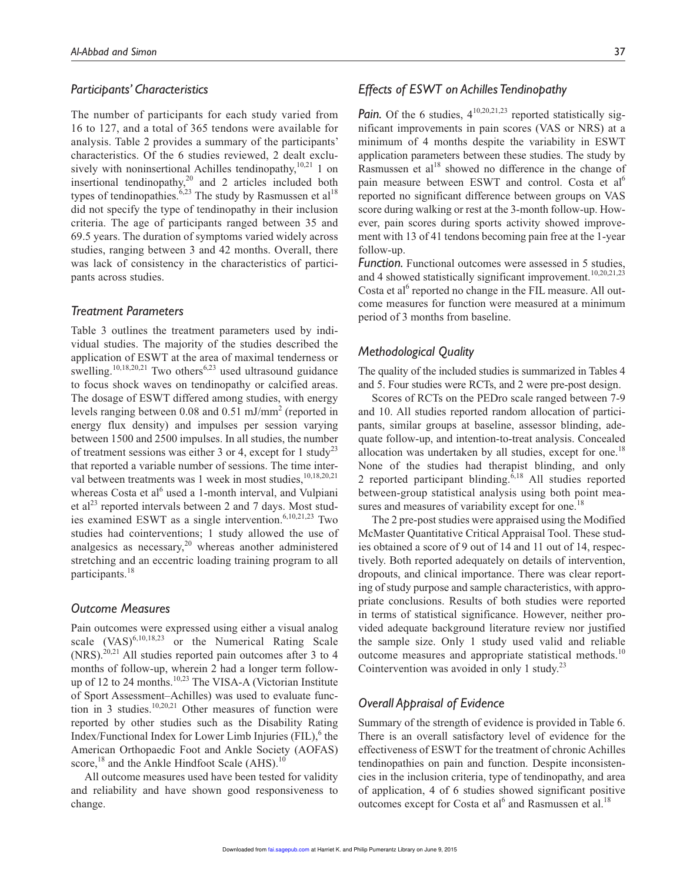#### *Participants' Characteristics*

The number of participants for each study varied from 16 to 127, and a total of 365 tendons were available for analysis. Table 2 provides a summary of the participants' characteristics. Of the 6 studies reviewed, 2 dealt exclusively with noninsertional Achilles tendinopathy, $10,21$  1 on insertional tendinopathy, $2<sup>0</sup>$  and 2 articles included both types of tendinopathies.<sup>6,23</sup> The study by Rasmussen et al<sup>18</sup> did not specify the type of tendinopathy in their inclusion criteria. The age of participants ranged between 35 and 69.5 years. The duration of symptoms varied widely across studies, ranging between 3 and 42 months. Overall, there was lack of consistency in the characteristics of participants across studies.

#### *Treatment Parameters*

Table 3 outlines the treatment parameters used by individual studies. The majority of the studies described the application of ESWT at the area of maximal tenderness or swelling.<sup>10,18,20,21</sup> Two others<sup>6,23</sup> used ultrasound guidance to focus shock waves on tendinopathy or calcified areas. The dosage of ESWT differed among studies, with energy levels ranging between 0.08 and 0.51 mJ/mm<sup>2</sup> (reported in energy flux density) and impulses per session varying between 1500 and 2500 impulses. In all studies, the number of treatment sessions was either 3 or 4, except for 1 study<sup>23</sup> that reported a variable number of sessions. The time interval between treatments was 1 week in most studies,  $^{10,18,20,21}$ whereas Costa et al<sup>6</sup> used a 1-month interval, and Vulpiani et al<sup>23</sup> reported intervals between 2 and 7 days. Most studies examined ESWT as a single intervention.<sup>6,10,21,23</sup> Two studies had cointerventions; 1 study allowed the use of analgesics as necessary, $20$  whereas another administered stretching and an eccentric loading training program to all participants.<sup>18</sup>

#### *Outcome Measures*

Pain outcomes were expressed using either a visual analog scale  $(VAS)^{6,10,18,23}$  or the Numerical Rating Scale (NRS).20,21 All studies reported pain outcomes after 3 to 4 months of follow-up, wherein 2 had a longer term followup of 12 to 24 months.<sup>10,23</sup> The VISA-A (Victorian Institute of Sport Assessment–Achilles) was used to evaluate function in 3 studies.<sup>10,20,21</sup> Other measures of function were reported by other studies such as the Disability Rating Index/Functional Index for Lower Limb Injuries (FIL),<sup>6</sup> the American Orthopaedic Foot and Ankle Society (AOFAS) score, $^{18}$  and the Ankle Hindfoot Scale (AHS).<sup>10</sup>

All outcome measures used have been tested for validity and reliability and have shown good responsiveness to change.

#### *Effects of ESWT on Achilles Tendinopathy*

*Pain.* Of the 6 studies,  $4^{10,20,21,23}$  reported statistically significant improvements in pain scores (VAS or NRS) at a minimum of 4 months despite the variability in ESWT application parameters between these studies. The study by Rasmussen et  $al<sup>18</sup>$  showed no difference in the change of pain measure between ESWT and control. Costa et al<sup>6</sup> reported no significant difference between groups on VAS score during walking or rest at the 3-month follow-up. However, pain scores during sports activity showed improvement with 13 of 41 tendons becoming pain free at the 1-year follow-up.

*Function.* Functional outcomes were assessed in 5 studies, and 4 showed statistically significant improvement.<sup>10,20,21,23</sup> Costa et al<sup>6</sup> reported no change in the FIL measure. All outcome measures for function were measured at a minimum period of 3 months from baseline.

#### *Methodological Quality*

The quality of the included studies is summarized in Tables 4 and 5. Four studies were RCTs, and 2 were pre-post design.

Scores of RCTs on the PEDro scale ranged between 7-9 and 10. All studies reported random allocation of participants, similar groups at baseline, assessor blinding, adequate follow-up, and intention-to-treat analysis. Concealed allocation was undertaken by all studies, except for one.<sup>18</sup> None of the studies had therapist blinding, and only 2 reported participant blinding. $6,18$  All studies reported between-group statistical analysis using both point measures and measures of variability except for one.<sup>18</sup>

The 2 pre-post studies were appraised using the Modified McMaster Quantitative Critical Appraisal Tool. These studies obtained a score of 9 out of 14 and 11 out of 14, respectively. Both reported adequately on details of intervention, dropouts, and clinical importance. There was clear reporting of study purpose and sample characteristics, with appropriate conclusions. Results of both studies were reported in terms of statistical significance. However, neither provided adequate background literature review nor justified the sample size. Only 1 study used valid and reliable outcome measures and appropriate statistical methods.<sup>10</sup> Cointervention was avoided in only 1 study.<sup>23</sup>

### *Overall Appraisal of Evidence*

Summary of the strength of evidence is provided in Table 6. There is an overall satisfactory level of evidence for the effectiveness of ESWT for the treatment of chronic Achilles tendinopathies on pain and function. Despite inconsistencies in the inclusion criteria, type of tendinopathy, and area of application, 4 of 6 studies showed significant positive outcomes except for Costa et al<sup>6</sup> and Rasmussen et al.<sup>18</sup>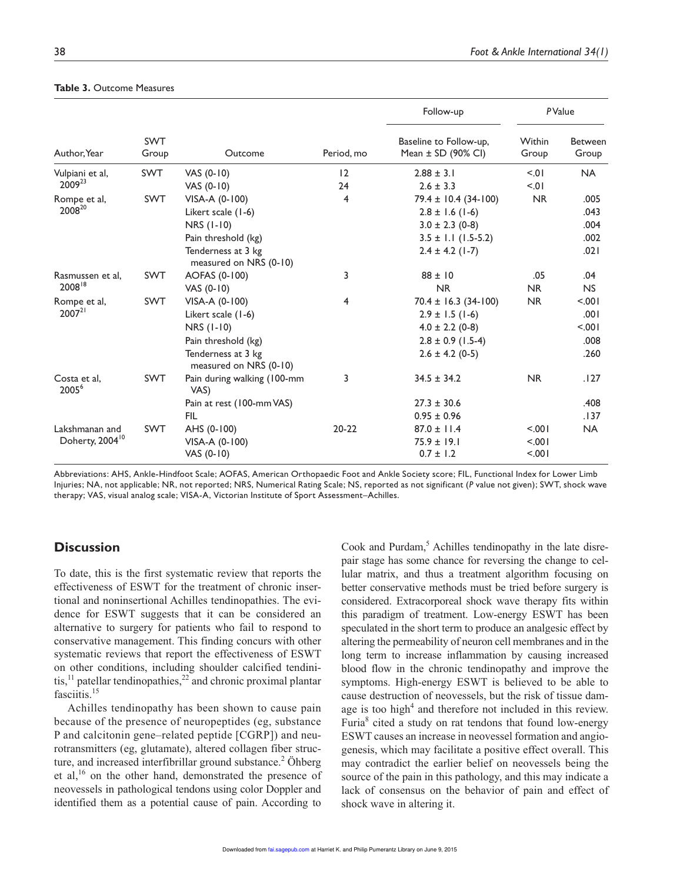|                                   |                     |                                              |            | Follow-up                                        |                 | PValue                  |
|-----------------------------------|---------------------|----------------------------------------------|------------|--------------------------------------------------|-----------------|-------------------------|
| Author, Year                      | <b>SWT</b><br>Group | Outcome                                      | Period, mo | Baseline to Follow-up,<br>Mean $\pm$ SD (90% CI) | Within<br>Group | <b>Between</b><br>Group |
| Vulpiani et al,                   | <b>SWT</b>          | VAS $(0-10)$                                 | 12         | $2.88 \pm 3.1$                                   | 50 <sub>1</sub> | <b>NA</b>               |
| 2009 <sup>23</sup>                |                     | VAS $(0-10)$                                 | 24         | $2.6 \pm 3.3$                                    | 5.01            |                         |
| Rompe et al,                      | <b>SWT</b>          | VISA-A (0-100)                               | 4          | $79.4 \pm 10.4 (34-100)$                         | <b>NR</b>       | .005                    |
| 200820                            |                     | Likert scale (1-6)                           |            | $2.8 \pm 1.6$ (1-6)                              |                 | .043                    |
|                                   |                     | NRS (1-10)                                   |            | $3.0 \pm 2.3$ (0-8)                              |                 | .004                    |
|                                   |                     | Pain threshold (kg)                          |            | $3.5 \pm 1.1$ (1.5-5.2)                          |                 | .002                    |
|                                   |                     | Tenderness at 3 kg<br>measured on NRS (0-10) |            | $2.4 \pm 4.2$ (1-7)                              |                 | .021                    |
| Rasmussen et al.                  | <b>SWT</b>          | AOFAS (0-100)                                | 3          | $88 \pm 10$                                      | .05             | .04                     |
| $2008^{18}$                       |                     | VAS (0-10)                                   |            | <b>NR</b>                                        | N <sub>R</sub>  | NS                      |
| Rompe et al,                      | <b>SWT</b>          | VISA-A (0-100)                               | 4          | $70.4 \pm 16.3$ (34-100)                         | <b>NR</b>       | 100.                    |
| $2007^{21}$                       |                     | Likert scale (1-6)                           |            | $2.9 \pm 1.5$ (1-6)                              |                 | .001                    |
|                                   |                     | NRS (1-10)                                   |            | $4.0 \pm 2.2$ (0-8)                              |                 | $500 -$                 |
|                                   |                     | Pain threshold (kg)                          |            | $2.8 \pm 0.9$ (1.5-4)                            |                 | .008                    |
|                                   |                     | Tenderness at 3 kg<br>measured on NRS (0-10) |            | $2.6 \pm 4.2$ (0-5)                              |                 | .260                    |
| Costa et al.<br>2005 <sup>6</sup> | <b>SWT</b>          | Pain during walking (100-mm<br>VAS)          | 3          | $34.5 \pm 34.2$                                  | <b>NR</b>       | .127                    |
|                                   |                     | Pain at rest (100-mm VAS)                    |            | $27.3 \pm 30.6$                                  |                 | .408                    |
|                                   |                     | FIL                                          |            | $0.95 \pm 0.96$                                  |                 | .137                    |
| Lakshmanan and                    | <b>SWT</b>          | AHS (0-100)                                  | $20 - 22$  | $87.0 \pm 11.4$                                  | 5.001           | <b>NA</b>               |
| Doherty, 2004 <sup>10</sup>       |                     | VISA-A (0-100)                               |            | $75.9 \pm 19.1$                                  | 5.001           |                         |
|                                   |                     | VAS (0-10)                                   |            | $0.7 \pm 1.2$                                    | 5.001           |                         |

#### **Table 3.** Outcome Measures

Abbreviations: AHS, Ankle-Hindfoot Scale; AOFAS, American Orthopaedic Foot and Ankle Society score; FIL, Functional Index for Lower Limb Injuries; NA, not applicable; NR, not reported; NRS, Numerical Rating Scale; NS, reported as not significant (*P* value not given); SWT, shock wave therapy; VAS, visual analog scale; VISA-A, Victorian Institute of Sport Assessment–Achilles.

### **Discussion**

To date, this is the first systematic review that reports the effectiveness of ESWT for the treatment of chronic insertional and noninsertional Achilles tendinopathies. The evidence for ESWT suggests that it can be considered an alternative to surgery for patients who fail to respond to conservative management. This finding concurs with other systematic reviews that report the effectiveness of ESWT on other conditions, including shoulder calcified tendinitis, $^{11}$  patellar tendinopathies, $^{22}$  and chronic proximal plantar fasciitis.<sup>15</sup>

Achilles tendinopathy has been shown to cause pain because of the presence of neuropeptides (eg, substance P and calcitonin gene–related peptide [CGRP]) and neurotransmitters (eg, glutamate), altered collagen fiber structure, and increased interfibrillar ground substance.<sup>2</sup> Öhberg et al,<sup>16</sup> on the other hand, demonstrated the presence of neovessels in pathological tendons using color Doppler and identified them as a potential cause of pain. According to

Cook and Purdam,<sup>5</sup> Achilles tendinopathy in the late disrepair stage has some chance for reversing the change to cellular matrix, and thus a treatment algorithm focusing on better conservative methods must be tried before surgery is considered. Extracorporeal shock wave therapy fits within this paradigm of treatment. Low-energy ESWT has been speculated in the short term to produce an analgesic effect by altering the permeability of neuron cell membranes and in the long term to increase inflammation by causing increased blood flow in the chronic tendinopathy and improve the symptoms. High-energy ESWT is believed to be able to cause destruction of neovessels, but the risk of tissue damage is too high<sup>4</sup> and therefore not included in this review. Furia<sup>8</sup> cited a study on rat tendons that found low-energy ESWT causes an increase in neovessel formation and angiogenesis, which may facilitate a positive effect overall. This may contradict the earlier belief on neovessels being the source of the pain in this pathology, and this may indicate a lack of consensus on the behavior of pain and effect of shock wave in altering it.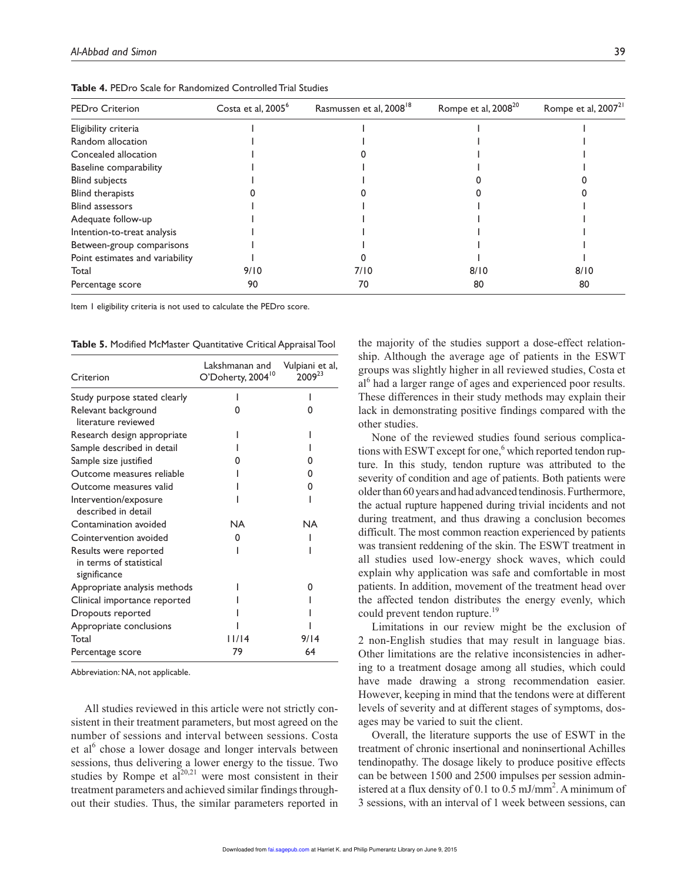| <b>PEDro Criterion</b>          | Costa et al, 2005 <sup>6</sup> | Rasmussen et al, 2008 <sup>18</sup> | Rompe et al, 2008 <sup>20</sup> | Rompe et al, 2007 <sup>21</sup> |
|---------------------------------|--------------------------------|-------------------------------------|---------------------------------|---------------------------------|
| Eligibility criteria            |                                |                                     |                                 |                                 |
| Random allocation               |                                |                                     |                                 |                                 |
| Concealed allocation            |                                |                                     |                                 |                                 |
| Baseline comparability          |                                |                                     |                                 |                                 |
| <b>Blind subjects</b>           |                                |                                     |                                 |                                 |
| <b>Blind therapists</b>         |                                |                                     |                                 |                                 |
| <b>Blind assessors</b>          |                                |                                     |                                 |                                 |
| Adequate follow-up              |                                |                                     |                                 |                                 |
| Intention-to-treat analysis     |                                |                                     |                                 |                                 |
| Between-group comparisons       |                                |                                     |                                 |                                 |
| Point estimates and variability |                                |                                     |                                 |                                 |
| Total                           | 9/10                           | 7/10                                | 8/10                            | 8/10                            |
| Percentage score                | 90                             | 70                                  | 80                              | 80                              |

**Table 4.** PEDro Scale for Randomized Controlled Trial Studies

Item 1 eligibility criteria is not used to calculate the PEDro score.

**Table 5.** Modified McMaster Quantitative Critical Appraisal Tool

| Criterion                                                        | Lakshmanan and<br>O'Doherty, 2004 <sup>10</sup> | Vulpiani et al,<br>$2009^{23}$ |
|------------------------------------------------------------------|-------------------------------------------------|--------------------------------|
| Study purpose stated clearly                                     |                                                 |                                |
| Relevant background<br>literature reviewed                       |                                                 |                                |
| Research design appropriate                                      |                                                 |                                |
| Sample described in detail                                       |                                                 |                                |
| Sample size justified                                            |                                                 |                                |
| Outcome measures reliable                                        |                                                 | O                              |
| Outcome measures valid                                           |                                                 | O                              |
| Intervention/exposure<br>described in detail                     |                                                 |                                |
| Contamination avoided                                            | <b>NA</b>                                       | <b>NA</b>                      |
| Cointervention avoided                                           | O                                               |                                |
| Results were reported<br>in terms of statistical<br>significance |                                                 |                                |
| Appropriate analysis methods                                     |                                                 | n                              |
| Clinical importance reported                                     |                                                 |                                |
| Dropouts reported                                                |                                                 |                                |
| Appropriate conclusions                                          |                                                 |                                |
| Total                                                            | /   4                                           | 9/14                           |
| Percentage score                                                 | 79                                              | 64                             |

Abbreviation: NA, not applicable.

All studies reviewed in this article were not strictly consistent in their treatment parameters, but most agreed on the number of sessions and interval between sessions. Costa et al<sup>6</sup> chose a lower dosage and longer intervals between sessions, thus delivering a lower energy to the tissue. Two studies by Rompe et  $al^{20,21}$  were most consistent in their treatment parameters and achieved similar findings throughout their studies. Thus, the similar parameters reported in

the majority of the studies support a dose-effect relationship. Although the average age of patients in the ESWT groups was slightly higher in all reviewed studies, Costa et al<sup>6</sup> had a larger range of ages and experienced poor results. These differences in their study methods may explain their lack in demonstrating positive findings compared with the other studies.

None of the reviewed studies found serious complications with ESWT except for one,<sup>6</sup> which reported tendon rupture. In this study, tendon rupture was attributed to the severity of condition and age of patients. Both patients were older than 60 years and had advanced tendinosis. Furthermore, the actual rupture happened during trivial incidents and not during treatment, and thus drawing a conclusion becomes difficult. The most common reaction experienced by patients was transient reddening of the skin. The ESWT treatment in all studies used low-energy shock waves, which could explain why application was safe and comfortable in most patients. In addition, movement of the treatment head over the affected tendon distributes the energy evenly, which could prevent tendon rupture.<sup>19</sup>

Limitations in our review might be the exclusion of 2 non-English studies that may result in language bias. Other limitations are the relative inconsistencies in adhering to a treatment dosage among all studies, which could have made drawing a strong recommendation easier. However, keeping in mind that the tendons were at different levels of severity and at different stages of symptoms, dosages may be varied to suit the client.

Overall, the literature supports the use of ESWT in the treatment of chronic insertional and noninsertional Achilles tendinopathy. The dosage likely to produce positive effects can be between 1500 and 2500 impulses per session administered at a flux density of 0.1 to 0.5 mJ/mm<sup>2</sup>. A minimum of 3 sessions, with an interval of 1 week between sessions, can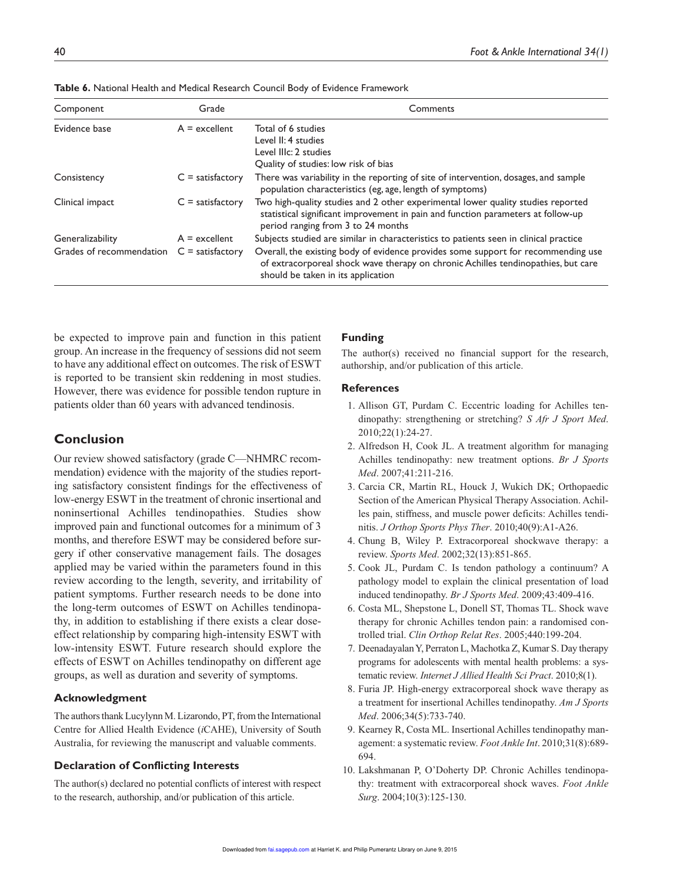| Component                | Grade              | Comments                                                                                                                                                                                                     |
|--------------------------|--------------------|--------------------------------------------------------------------------------------------------------------------------------------------------------------------------------------------------------------|
| Evidence base            | $A =$ excellent    | Total of 6 studies                                                                                                                                                                                           |
|                          |                    | Level II: 4 studies                                                                                                                                                                                          |
|                          |                    | Level IIIc: 2 studies                                                                                                                                                                                        |
|                          |                    | Quality of studies: low risk of bias                                                                                                                                                                         |
| Consistency              | $C =$ satisfactory | There was variability in the reporting of site of intervention, dosages, and sample<br>population characteristics (eg, age, length of symptoms)                                                              |
| Clinical impact          | $C =$ satisfactory | Two high-quality studies and 2 other experimental lower quality studies reported<br>statistical significant improvement in pain and function parameters at follow-up<br>period ranging from 3 to 24 months   |
| Generalizability         | $A =$ excellent    | Subjects studied are similar in characteristics to patients seen in clinical practice                                                                                                                        |
| Grades of recommendation | $C =$ satisfactory | Overall, the existing body of evidence provides some support for recommending use<br>of extracorporeal shock wave therapy on chronic Achilles tendinopathies, but care<br>should be taken in its application |

**Table 6.** National Health and Medical Research Council Body of Evidence Framework

be expected to improve pain and function in this patient group. An increase in the frequency of sessions did not seem to have any additional effect on outcomes. The risk of ESWT is reported to be transient skin reddening in most studies. However, there was evidence for possible tendon rupture in patients older than 60 years with advanced tendinosis.

# **Conclusion**

Our review showed satisfactory (grade C—NHMRC recommendation) evidence with the majority of the studies reporting satisfactory consistent findings for the effectiveness of low-energy ESWT in the treatment of chronic insertional and noninsertional Achilles tendinopathies. Studies show improved pain and functional outcomes for a minimum of 3 months, and therefore ESWT may be considered before surgery if other conservative management fails. The dosages applied may be varied within the parameters found in this review according to the length, severity, and irritability of patient symptoms. Further research needs to be done into the long-term outcomes of ESWT on Achilles tendinopathy, in addition to establishing if there exists a clear doseeffect relationship by comparing high-intensity ESWT with low-intensity ESWT. Future research should explore the effects of ESWT on Achilles tendinopathy on different age groups, as well as duration and severity of symptoms.

#### **Acknowledgment**

The authors thank Lucylynn M. Lizarondo, PT, from the International Centre for Allied Health Evidence (*i*CAHE), University of South Australia, for reviewing the manuscript and valuable comments.

#### **Declaration of Conflicting Interests**

The author(s) declared no potential conflicts of interest with respect to the research, authorship, and/or publication of this article.

#### **Funding**

The author(s) received no financial support for the research, authorship, and/or publication of this article.

#### **References**

- 1. Allison GT, Purdam C. Eccentric loading for Achilles tendinopathy: strengthening or stretching? *S Afr J Sport Med*. 2010;22(1):24-27.
- 2. Alfredson H, Cook JL. A treatment algorithm for managing Achilles tendinopathy: new treatment options. *Br J Sports Med*. 2007;41:211-216.
- 3. Carcia CR, Martin RL, Houck J, Wukich DK; Orthopaedic Section of the American Physical Therapy Association. Achilles pain, stiffness, and muscle power deficits: Achilles tendinitis. *J Orthop Sports Phys Ther*. 2010;40(9):A1-A26.
- 4. Chung B, Wiley P. Extracorporeal shockwave therapy: a review. *Sports Med*. 2002;32(13):851-865.
- 5. Cook JL, Purdam C. Is tendon pathology a continuum? A pathology model to explain the clinical presentation of load induced tendinopathy. *Br J Sports Med*. 2009;43:409-416.
- 6. Costa ML, Shepstone L, Donell ST, Thomas TL. Shock wave therapy for chronic Achilles tendon pain: a randomised controlled trial. *Clin Orthop Relat Res*. 2005;440:199-204.
- 7. Deenadayalan Y, Perraton L, Machotka Z, Kumar S. Day therapy programs for adolescents with mental health problems: a systematic review. *Internet J Allied Health Sci Pract*. 2010;8(1).
- 8. Furia JP. High-energy extracorporeal shock wave therapy as a treatment for insertional Achilles tendinopathy. *Am J Sports Med*. 2006;34(5):733-740.
- 9. Kearney R, Costa ML. Insertional Achilles tendinopathy management: a systematic review. *Foot Ankle Int*. 2010;31(8):689- 694.
- 10. Lakshmanan P, O'Doherty DP. Chronic Achilles tendinopathy: treatment with extracorporeal shock waves. *Foot Ankle Surg*. 2004;10(3):125-130.